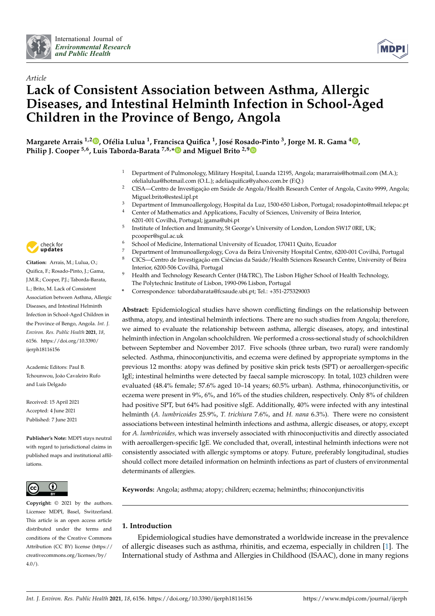



# *Article* **Lack of Consistent Association between Asthma, Allergic Diseases, and Intestinal Helminth Infection in School-Aged Children in the Province of Bengo, Angola**

**Margarete Arrais 1,2 [,](https://orcid.org/0000-0001-6611-4260) Ofélia Lulua <sup>1</sup> , Francisca Quifica <sup>1</sup> , José Rosado-Pinto <sup>3</sup> , Jorge M. R. Gama <sup>4</sup> [,](https://orcid.org/0000-0003-3926-580X) Philip J. Cooper 5,6, Luis Taborda-Barata 7,8,[\\*](https://orcid.org/0000-0001-6649-8890) and Miguel Brito 2,[9](https://orcid.org/0000-0001-6394-658X)**

- <sup>1</sup> Department of Pulmonology, Military Hospital, Luanda 12195, Angola; mararrais@hotmail.com (M.A.); ofelialulua@hotmail.com (O.L.); adeliaquifica@yahoo.com.br (F.Q.)
- <sup>2</sup> CISA—Centro de Investigação em Saúde de Angola/Health Research Center of Angola, Caxito 9999, Angola; Miguel.brito@estesl.ipl.pt
- <sup>3</sup> Department of Immunoallergology, Hospital da Luz, 1500-650 Lisbon, Portugal; rosadopinto@mail.telepac.pt<br><sup>4</sup> Conter of Mathematics and Applications. Eaculty of Sciences, University of Beira Interior
- Center of Mathematics and Applications, Faculty of Sciences, University of Beira Interior, 6201-001 Covilhã, Portugal; jgama@ubi.pt
- 5 Institute of Infection and Immunity, St George's University of London, London SW17 0RE, UK; pcooper@sgul.ac.uk
- <sup>6</sup> School of Medicine, International University of Ecuador, 170411 Quito, Ecuador<br><sup>7</sup> Department of Immunoallercalory, Cava da Beira University Hespital Centre 6
- 7 Department of Immunoallergology, Cova da Beira University Hospital Centre, 6200-001 Covilhã, Portugal<br>8 CICS—Centro de Investigação em Ciências da Saúde /Health Sciences Research Centre, University of Beira <sup>8</sup> CICS—Centro de Investigação em Ciências da Saúde/Health Sciences Research Centre, University of Beira
- Interior, 6200-506 Covilhã, Portugal
- <sup>9</sup> Health and Technology Research Center (H&TRC), The Lisbon Higher School of Health Technology, The Polytechnic Institute of Lisbon, 1990-096 Lisbon, Portugal
- **\*** Correspondence: tabordabarata@fcsaude.ubi.pt; Tel.: +351-275329003

**Abstract:** Epidemiological studies have shown conflicting findings on the relationship between asthma, atopy, and intestinal helminth infections. There are no such studies from Angola; therefore, we aimed to evaluate the relationship between asthma, allergic diseases, atopy, and intestinal helminth infection in Angolan schoolchildren. We performed a cross-sectional study of schoolchildren between September and November 2017. Five schools (three urban, two rural) were randomly selected. Asthma, rhinoconjunctivitis, and eczema were defined by appropriate symptoms in the previous 12 months: atopy was defined by positive skin prick tests (SPT) or aeroallergen-specific IgE; intestinal helminths were detected by faecal sample microscopy. In total, 1023 children were evaluated (48.4% female; 57.6% aged 10–14 years; 60.5% urban). Asthma, rhinoconjunctivitis, or eczema were present in 9%, 6%, and 16% of the studies children, respectively. Only 8% of children had positive SPT, but 64% had positive sIgE. Additionally, 40% were infected with any intestinal helminth (*A. lumbricoides* 25.9%, *T. trichiura* 7.6%, and *H. nana* 6.3%). There were no consistent associations between intestinal helminth infections and asthma, allergic diseases, or atopy, except for *A. lumbricoides,* which was inversely associated with rhinoconjuctivitis and directly associated with aeroallergen-specific IgE. We concluded that, overall, intestinal helminth infections were not consistently associated with allergic symptoms or atopy. Future, preferably longitudinal, studies should collect more detailed information on helminth infections as part of clusters of environmental determinants of allergies.

**Keywords:** Angola; asthma; atopy; children; eczema; helminths; rhinoconjunctivitis

# **1. Introduction**

Epidemiological studies have demonstrated a worldwide increase in the prevalence of allergic diseases such as asthma, rhinitis, and eczema, especially in children [\[1\]](#page-11-0). The International study of Asthma and Allergies in Childhood (ISAAC), done in many regions



**Citation:** Arrais, M.; Lulua, O.; Quifica, F.; Rosado-Pinto, J.; Gama, J.M.R.; Cooper, P.J.; Taborda-Barata, L.; Brito, M. Lack of Consistent Association between Asthma, Allergic Diseases, and Intestinal Helminth Infection in School-Aged Children in the Province of Bengo, Angola. *Int. J. Environ. Res. Public Health* **2021**, *18*, 6156. [https://doi.org/10.3390/](https://doi.org/10.3390/ijerph18116156) [ijerph18116156](https://doi.org/10.3390/ijerph18116156)

Academic Editors: Paul B. Tchounwou, João Cavaleiro Rufo and Luís Delgado

Received: 15 April 2021 Accepted: 4 June 2021 Published: 7 June 2021

**Publisher's Note:** MDPI stays neutral with regard to jurisdictional claims in published maps and institutional affiliations.



**Copyright:** © 2021 by the authors. Licensee MDPI, Basel, Switzerland. This article is an open access article distributed under the terms and conditions of the Creative Commons Attribution (CC BY) license (https:/[/](https://creativecommons.org/licenses/by/4.0/) [creativecommons.org/licenses/by/](https://creativecommons.org/licenses/by/4.0/)  $4.0/$ ).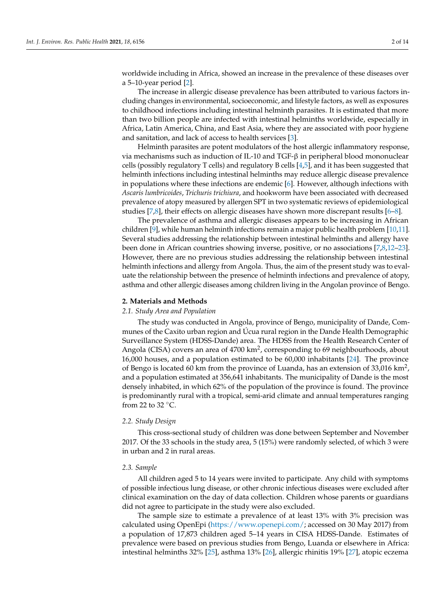worldwide including in Africa, showed an increase in the prevalence of these diseases over a 5–10-year period [\[2\]](#page-11-1).

The increase in allergic disease prevalence has been attributed to various factors including changes in environmental, socioeconomic, and lifestyle factors, as well as exposures to childhood infections including intestinal helminth parasites. It is estimated that more than two billion people are infected with intestinal helminths worldwide, especially in Africa, Latin America, China, and East Asia, where they are associated with poor hygiene and sanitation, and lack of access to health services [\[3\]](#page-11-2).

Helminth parasites are potent modulators of the host allergic inflammatory response, via mechanisms such as induction of IL-10 and TGF-β in peripheral blood mononuclear cells (possibly regulatory T cells) and regulatory B cells [\[4,](#page-11-3)[5\]](#page-11-4), and it has been suggested that helminth infections including intestinal helminths may reduce allergic disease prevalence in populations where these infections are endemic [\[6\]](#page-11-5). However, although infections with *Ascaris lumbricoides*, *Trichuris trichiura*, and hookworm have been associated with decreased prevalence of atopy measured by allergen SPT in two systematic reviews of epidemiological studies [\[7,](#page-11-6)[8\]](#page-11-7), their effects on allergic diseases have shown more discrepant results [\[6](#page-11-5)[–8\]](#page-11-7).

The prevalence of asthma and allergic diseases appears to be increasing in African children [\[9\]](#page-11-8), while human helminth infections remain a major public health problem [\[10](#page-11-9)[,11\]](#page-11-10). Several studies addressing the relationship between intestinal helminths and allergy have been done in African countries showing inverse, positive, or no associations [\[7](#page-11-6)[,8](#page-11-7)[,12](#page-11-11)[–23\]](#page-11-12). However, there are no previous studies addressing the relationship between intestinal helminth infections and allergy from Angola. Thus, the aim of the present study was to evaluate the relationship between the presence of helminth infections and prevalence of atopy, asthma and other allergic diseases among children living in the Angolan province of Bengo.

#### **2. Materials and Methods**

# *2.1. Study Area and Population*

The study was conducted in Angola, province of Bengo, municipality of Dande, Communes of the Caxito urban region and Úcua rural region in the Dande Health Demographic Surveillance System (HDSS-Dande) area. The HDSS from the Health Research Center of Angola (CISA) covers an area of 4700 km<sup>2</sup>, corresponding to 69 neighbourhoods, about 16,000 houses, and a population estimated to be 60,000 inhabitants [\[24\]](#page-12-0). The province of Bengo is located 60 km from the province of Luanda, has an extension of 33,016 km<sup>2</sup>, and a population estimated at 356,641 inhabitants. The municipality of Dande is the most densely inhabited, in which 62% of the population of the province is found. The province is predominantly rural with a tropical, semi-arid climate and annual temperatures ranging from 22 to 32 $°C$ .

# *2.2. Study Design*

This cross-sectional study of children was done between September and November 2017. Of the 33 schools in the study area, 5 (15%) were randomly selected, of which 3 were in urban and 2 in rural areas.

# *2.3. Sample*

All children aged 5 to 14 years were invited to participate. Any child with symptoms of possible infectious lung disease, or other chronic infectious diseases were excluded after clinical examination on the day of data collection. Children whose parents or guardians did not agree to participate in the study were also excluded.

The sample size to estimate a prevalence of at least 13% with 3% precision was calculated using OpenEpi [\(https://www.openepi.com/;](https://www.openepi.com/) accessed on 30 May 2017) from a population of 17,873 children aged 5–14 years in CISA HDSS-Dande. Estimates of prevalence were based on previous studies from Bengo, Luanda or elsewhere in Africa: intestinal helminths 32% [\[25\]](#page-12-1), asthma 13% [\[26\]](#page-12-2), allergic rhinitis 19% [\[27\]](#page-12-3), atopic eczema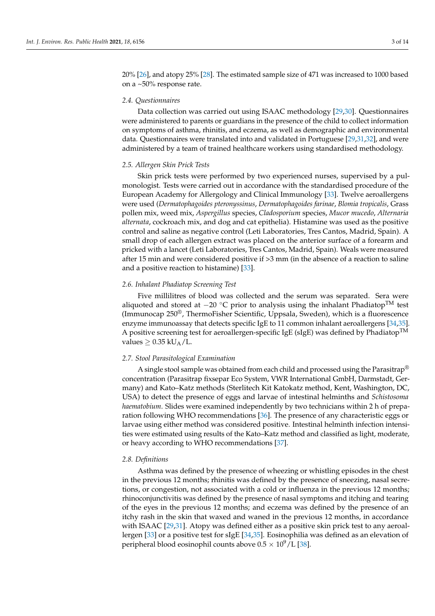20% [\[26\]](#page-12-2), and atopy 25% [\[28\]](#page-12-4). The estimated sample size of 471 was increased to 1000 based on a ~50% response rate.

# *2.4. Questionnaires*

Data collection was carried out using ISAAC methodology [\[29,](#page-12-5)[30\]](#page-12-6). Questionnaires were administered to parents or guardians in the presence of the child to collect information on symptoms of asthma, rhinitis, and eczema, as well as demographic and environmental data. Questionnaires were translated into and validated in Portuguese [\[29,](#page-12-5)[31,](#page-12-7)[32\]](#page-12-8), and were administered by a team of trained healthcare workers using standardised methodology.

### *2.5. Allergen Skin Prick Tests*

Skin prick tests were performed by two experienced nurses, supervised by a pulmonologist. Tests were carried out in accordance with the standardised procedure of the European Academy for Allergology and Clinical Immunology [\[33\]](#page-12-9). Twelve aeroallergens were used (*Dermatophagoides pteronyssinus*, *Dermatophagoides farinae*, *Blomia tropicalis*, Grass pollen mix, weed mix, *Aspergillus* species, *Cladosporium* species, *Mucor mucedo*, *Alternaria alternata*, cockroach mix, and dog and cat epithelia). Histamine was used as the positive control and saline as negative control (Leti Laboratories, Tres Cantos, Madrid, Spain). A small drop of each allergen extract was placed on the anterior surface of a forearm and pricked with a lancet (Leti Laboratories, Tres Cantos, Madrid, Spain). Weals were measured after 15 min and were considered positive if >3 mm (in the absence of a reaction to saline and a positive reaction to histamine) [\[33\]](#page-12-9).

#### *2.6. Inhalant Phadiatop Screening Test*

Five millilitres of blood was collected and the serum was separated. Sera were aliquoted and stored at  $-20$  °C prior to analysis using the inhalant Phadiatop<sup>TM</sup> test (Immunocap 250®, ThermoFisher Scientific, Uppsala, Sweden), which is a fluorescence enzyme immunoassay that detects specific IgE to 11 common inhalant aeroallergens [\[34](#page-12-10)[,35\]](#page-12-11). A positive screening test for aeroallergen-specific IgE (sIgE) was defined by Phadiatop<sup>TM</sup> values  $> 0.35$  kU<sub>A</sub>/L.

### *2.7. Stool Parasitological Examination*

A single stool sample was obtained from each child and processed using the Parasitrap® concentration (Parasitrap fixsepar Eco System, VWR International GmbH, Darmstadt, Germany) and Kato–Katz methods (Sterlitech Kit Katokatz method, Kent, Washington, DC, USA) to detect the presence of eggs and larvae of intestinal helminths and *Schistosoma haematobium*. Slides were examined independently by two technicians within 2 h of preparation following WHO recommendations [\[36\]](#page-12-12). The presence of any characteristic eggs or larvae using either method was considered positive. Intestinal helminth infection intensities were estimated using results of the Kato–Katz method and classified as light, moderate, or heavy according to WHO recommendations [\[37\]](#page-12-13).

#### *2.8. Definitions*

Asthma was defined by the presence of wheezing or whistling episodes in the chest in the previous 12 months; rhinitis was defined by the presence of sneezing, nasal secretions, or congestion, not associated with a cold or influenza in the previous 12 months; rhinoconjunctivitis was defined by the presence of nasal symptoms and itching and tearing of the eyes in the previous 12 months; and eczema was defined by the presence of an itchy rash in the skin that waxed and waned in the previous 12 months, in accordance with ISAAC [\[29,](#page-12-5)[31\]](#page-12-7). Atopy was defined either as a positive skin prick test to any aeroallergen [\[33\]](#page-12-9) or a positive test for sIgE [\[34](#page-12-10)[,35\]](#page-12-11). Eosinophilia was defined as an elevation of peripheral blood eosinophil counts above  $0.5 \times 10^9$ /L [\[38\]](#page-12-14).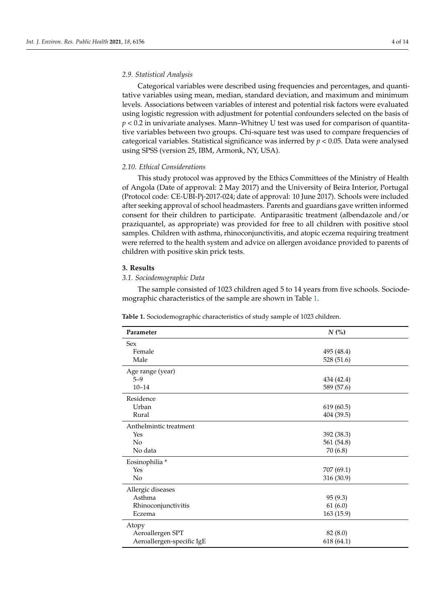# *2.9. Statistical Analysis*

Categorical variables were described using frequencies and percentages, and quantitative variables using mean, median, standard deviation, and maximum and minimum levels. Associations between variables of interest and potential risk factors were evaluated using logistic regression with adjustment for potential confounders selected on the basis of *p* < 0.2 in univariate analyses. Mann–Whitney U test was used for comparison of quantitative variables between two groups. Chi-square test was used to compare frequencies of categorical variables. Statistical significance was inferred by  $p < 0.05$ . Data were analysed using SPSS (version 25, IBM, Armonk, NY, USA).

### *2.10. Ethical Considerations*

This study protocol was approved by the Ethics Committees of the Ministry of Health of Angola (Date of approval: 2 May 2017) and the University of Beira Interior, Portugal (Protocol code: CE-UBI-Pj-2017-024; date of approval: 10 June 2017). Schools were included after seeking approval of school headmasters. Parents and guardians gave written informed consent for their children to participate. Antiparasitic treatment (albendazole and/or praziquantel, as appropriate) was provided for free to all children with positive stool samples. Children with asthma, rhinoconjunctivitis, and atopic eczema requiring treatment were referred to the health system and advice on allergen avoidance provided to parents of children with positive skin prick tests.

# **3. Results**

### *3.1. Sociodemographic Data*

The sample consisted of 1023 children aged 5 to 14 years from five schools. Sociodemographic characteristics of the sample are shown in Table [1.](#page-4-0)

| Parameter                 | $N$ (%)    |
|---------------------------|------------|
| <b>Sex</b>                |            |
| Female                    | 495 (48.4) |
| Male                      | 528 (51.6) |
| Age range (year)          |            |
| $5 - 9$                   | 434 (42.4) |
| $10 - 14$                 | 589 (57.6) |
| Residence                 |            |
| Urban                     | 619(60.5)  |
| Rural                     | 404 (39.5) |
| Anthelmintic treatment    |            |
| Yes                       | 392 (38.3) |
| No                        | 561 (54.8) |
| No data                   | 70 (6.8)   |
| Eosinophilia *            |            |
| Yes                       | 707 (69.1) |
| No                        | 316 (30.9) |
| Allergic diseases         |            |
| Asthma                    | 95(9.3)    |
| Rhinoconjunctivitis       | 61(6.0)    |
| Eczema                    | 163 (15.9) |
| Atopy                     |            |
| Aeroallergen SPT          | 82 (8.0)   |
| Aeroallergen-specific IgE | 618 (64.1) |

**Table 1.** Sociodemographic characteristics of study sample of 1023 children.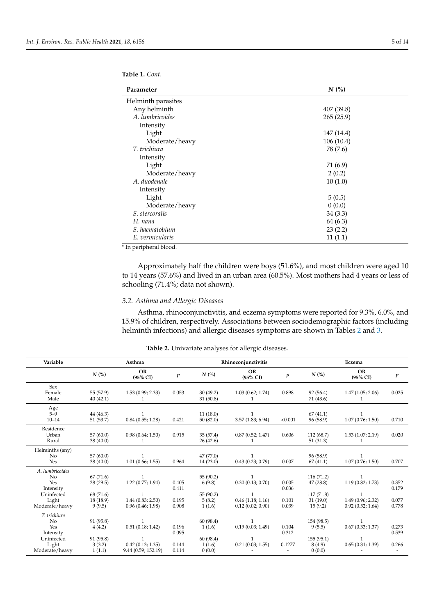<span id="page-4-0"></span>**Table 1.** *Cont*.

| Parameter             | $N$ (%)    |
|-----------------------|------------|
| Helminth parasites    |            |
| Any helminth          | 407 (39.8) |
| A. lumbricoides       | 265(25.9)  |
| Intensity             |            |
| Light                 | 147 (14.4) |
| Moderate/heavy        | 106(10.4)  |
| T. trichiura          | 78 (7.6)   |
| Intensity             |            |
| Light                 | 71 (6.9)   |
| Moderate/heavy        | 2(0.2)     |
| A. duodenale          | 10(1.0)    |
| Intensity             |            |
| Light                 | 5(0.5)     |
| Moderate/heavy        | 0(0.0)     |
| <i>S. stercoralis</i> | 34(3.3)    |
| H. nana               | 64 (6.3)   |
| S. haematobium        | 23(2.2)    |
| E. vermicularis       | 11(1.1)    |

\* In peripheral blood.

Approximately half the children were boys (51.6%), and most children were aged 10 to 14 years (57.6%) and lived in an urban area (60.5%). Most mothers had 4 years or less of schooling (71.4%; data not shown).

# *3.2. Asthma and Allergic Diseases*

Asthma, rhinoconjunctivitis, and eczema symptoms were reported for 9.3%, 6.0%, and 15.9% of children, respectively. Associations between sociodemographic factors (including helminth infections) and allergic diseases symptoms are shown in Tables [2](#page-5-0) and [3.](#page-5-1)

| Variable                                                                           |                                                          | Asthma                                                                                      |                                  | Rhinoconjunctivitis                                  | Eczema                                                                   |                                                      |                                                           |                                                                           |                                  |
|------------------------------------------------------------------------------------|----------------------------------------------------------|---------------------------------------------------------------------------------------------|----------------------------------|------------------------------------------------------|--------------------------------------------------------------------------|------------------------------------------------------|-----------------------------------------------------------|---------------------------------------------------------------------------|----------------------------------|
|                                                                                    | $N$ (%)                                                  | <b>OR</b><br>$(95\% \text{ CI})$                                                            | p                                | $N$ (%)                                              | <b>OR</b><br>$(95\% \text{ CI})$                                         | p                                                    | $N$ (%)                                                   | OR<br>$(95\% \text{ CI})$                                                 | p                                |
| Sex<br>Female<br>Male                                                              | 55 (57.9)<br>40(42.1)                                    | 1.53(0.99; 2.33)                                                                            | 0.053                            | 30(49.2)<br>31(50.8)                                 | 1.03(0.62; 1.74)                                                         | 0.898                                                | 92 (56.4)<br>71 (43.6)                                    | 1.47(1.05; 2.06)                                                          | 0.025                            |
| Age<br>$5-9$<br>$10 - 14$                                                          | 44 (46.3)<br>51 (53.7)                                   | 0.84(0.55; 1.28)                                                                            | 0.421                            | 11(18.0)<br>50(82.0)                                 | 3.57(1.83; 6.94)                                                         | < 0.001                                              | 67(41.1)<br>96 (58.9)                                     | 1.07(0.76; 1.50)                                                          | 0.710                            |
| Residence<br>Urban<br>Rural                                                        | 57(60.0)<br>38(40.0)                                     | 0.98(0.64; 1.50)                                                                            | 0.915                            | 35(57.4)<br>26(42.6)                                 | 0.87(0.52; 1.47)                                                         | 0.606                                                | 112(68.7)<br>51(31.3)                                     | 1.53(1.07; 2.19)                                                          | 0.020                            |
| Helminths (any)<br>N <sub>o</sub><br>Yes                                           | 57(60.0)<br>38(40.0)                                     | 1.01(0.66; 1.55)                                                                            | 0.964                            | 47 (77.0)<br>14(23.0)                                | $\mathbf{1}$<br>0.43(0.23; 0.79)                                         | 0.007                                                | 96 (58.9)<br>67(41.1)                                     | $\mathbf{1}$<br>1.07(0.76; 1.50)                                          | 0.707                            |
| A. lumbricoides<br>No<br>Yes<br>Intensity<br>Uninfected<br>Light<br>Moderate/heavy | 67(71.6)<br>28(29.5)<br>68 (71.6)<br>18 (18.9)<br>9(9.5) | $\mathbf{1}$<br>1.22(0.77; 1.94)<br>1.44(0.83; 2.50)<br>0.96(0.46; 1.98)                    | 0.405<br>0.411<br>0.195<br>0.908 | 55 (90.2)<br>6(9.8)<br>55 (90.2)<br>5(8.2)<br>1(1.6) | $\mathbf{1}$<br>0.30(0.13; 0.70)<br>0.46(1.18; 1.16)<br>0.12(0.02; 0.90) | 0.005<br>0.036<br>0.101<br>0.039                     | 116(71.2)<br>47(28.8)<br>117(71.8)<br>31(19.0)<br>15(9.2) | $\mathbf{1}$<br>1.19(0.82; 1.73)<br>1.49 (0.96; 2.32)<br>0.92(0.52; 1.64) | 0.352<br>0.179<br>0.077<br>0.778 |
| T. trichiura<br>No<br>Yes<br>Intensity<br>Uninfected<br>Light<br>Moderate/heavy    | 91 (95.8)<br>4(4.2)<br>91 (95.8)<br>3(3.2)<br>1(1.1)     | $\mathbf{1}$<br>0.51(0.18; 1.42)<br>$\mathbf{1}$<br>0.42(0.13; 1.35)<br>9.44 (0.59; 152.19) | 0.196<br>0.095<br>0.144<br>0.114 | 60 (98.4)<br>1(1.6)<br>60 (98.4)<br>1(1.6)<br>0(0.0) | $\mathbf{1}$<br>0.19(0.03; 1.49)<br>1<br>0.21(0.03; 1.55)                | 0.104<br>0.312<br>0.1277<br>$\overline{\phantom{a}}$ | 154 (98.5)<br>9(5.5)<br>155(95.1)<br>8(4.9)<br>0(0.0)     | 0.67(0.33; 1.37)<br>0.65(0.31; 1.39)                                      | 0.273<br>0.539<br>0.266          |

**Table 2.** Univariate analyses for allergic diseases.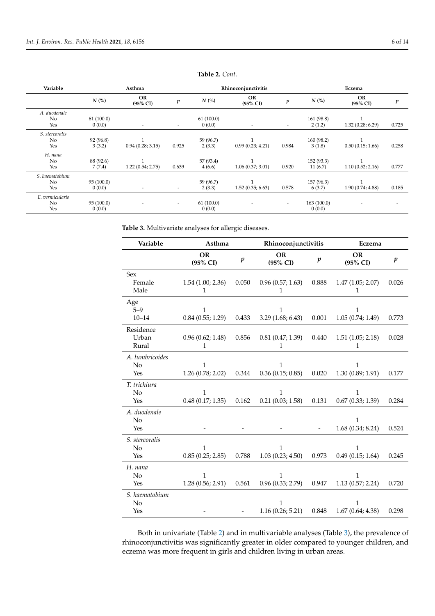<span id="page-5-0"></span>

| Variable                     |                      | Asthma                    |                          | Rhinoconjunctivitis | Eczema                    |                          |                       |                           |                  |
|------------------------------|----------------------|---------------------------|--------------------------|---------------------|---------------------------|--------------------------|-----------------------|---------------------------|------------------|
|                              | $N$ (%)              | OR<br>$(95\% \text{ CI})$ | $\boldsymbol{p}$         | $N$ (%)             | OR<br>$(95\% \text{ CI})$ | p                        | $N$ (%)               | OR<br>$(95\% \text{ CI})$ | $\boldsymbol{p}$ |
| A. duodenale<br>No<br>Yes    | 61(100.0)<br>0(0.0)  | $\overline{\phantom{a}}$  | $\overline{a}$           | 61(100.0)<br>0(0.0) | $\overline{\phantom{a}}$  | $\overline{\phantom{a}}$ | 161(98.8)<br>2(1.2)   | 1.32(0.28; 6.29)          | 0.725            |
| S. stercoralis<br>No<br>Yes  | 92 (96.8)<br>3(3.2)  | 0.94(0.28; 3.15)          | 0.925                    | 59 (96.7)<br>2(3.3) | 0.99(0.23; 4.21)          | 0.984                    | 160 (98.2)<br>3(1.8)  | 0.50(0.15; 1.66)          | 0.258            |
| H. nana<br>No<br>Yes         | 88 (92.6)<br>7(7.4)  | 1.22(0.54; 2.75)          | 0.639                    | 57 (93.4)<br>4(6.6) | 1.06(0.37; 3.01)          | 0.920                    | 152(93.3)<br>11(6.7)  | 1.10(0.52; 2.16)          | 0.777            |
| S. haematobium<br>No<br>Yes  | 95 (100.0)<br>0(0.0) |                           | $\overline{\phantom{a}}$ | 59 (96.7)<br>2(3.3) | 1.52(0.35; 6.63)          | 0.578                    | 157(96.3)<br>6(3.7)   | 1.90(0.74; 4.88)          | 0.185            |
| E. vermicularis<br>No<br>Yes | 95 (100.0)<br>0(0.0) |                           | $\overline{a}$           | 61(100.0)<br>0(0.0) |                           | $\overline{\phantom{a}}$ | 163 (100.0)<br>0(0.0) |                           |                  |

**Table 2.** *Cont*.

<span id="page-5-1"></span>**Table 3.** Multivariate analyses for allergic diseases.

| Variable        | Asthma            |                  | Rhinoconjunctivitis                |       | Eczema           |                  |  |
|-----------------|-------------------|------------------|------------------------------------|-------|------------------|------------------|--|
|                 | OR<br>(95% CI)    | $\boldsymbol{p}$ | OR<br>$\boldsymbol{p}$<br>(95% CI) |       | OR<br>(95% CI)   | $\boldsymbol{p}$ |  |
| <b>Sex</b>      |                   |                  |                                    |       |                  |                  |  |
| Female          | 1.54(1.00; 2.36)  | 0.050            | 0.96(0.57; 1.63)                   | 0.888 | 1.47(1.05; 2.07) | 0.026            |  |
| Male            | 1                 |                  | 1                                  |       | 1                |                  |  |
| Age             |                   |                  |                                    |       |                  |                  |  |
| $5 - 9$         | 1                 |                  | 1                                  |       | $\mathbf{1}$     |                  |  |
| $10 - 14$       | 0.84(0.55; 1.29)  | 0.433            | 3.29(1.68; 6.43)                   | 0.001 | 1.05(0.74; 1.49) | 0.773            |  |
| Residence       |                   |                  |                                    |       |                  |                  |  |
| Urban           | 0.96(0.62; 1.48)  | 0.856            | 0.81(0.47; 1.39)                   | 0.440 | 1.51(1.05; 2.18) | 0.028            |  |
| Rural           | 1                 |                  | 1                                  |       | 1                |                  |  |
| A. lumbricoides |                   |                  |                                    |       |                  |                  |  |
| No              | 1                 |                  | 1                                  |       | 1                |                  |  |
| Yes             | 1.26(0.78; 2.02)  | 0.344            | 0.36(0.15; 0.85)                   | 0.020 | 1.30(0.89; 1.91) | 0.177            |  |
| T. trichiura    |                   |                  |                                    |       |                  |                  |  |
| No              | $\mathbf{1}$      |                  | 1                                  |       | $\mathbf{1}$     |                  |  |
| Yes             | 0.48(0.17; 1.35)  | 0.162            | 0.21(0.03; 1.58)                   | 0.131 | 0.67(0.33; 1.39) | 0.284            |  |
| A. duodenale    |                   |                  |                                    |       |                  |                  |  |
| No              |                   |                  |                                    |       | 1                |                  |  |
| Yes             |                   |                  |                                    |       | 1.68(0.34; 8.24) | 0.524            |  |
| S. stercoralis  |                   |                  |                                    |       |                  |                  |  |
| No              | 1                 |                  | 1                                  |       | 1                |                  |  |
| Yes             | 0.85(0.25; 2.85)  | 0.788            | 1.03(0.23; 4.50)                   | 0.973 | 0.49(0.15; 1.64) | 0.245            |  |
| H. nana         |                   |                  |                                    |       |                  |                  |  |
| No              | $\mathbf{1}$      |                  | 1                                  |       | $\mathbf{1}$     |                  |  |
| Yes             | 1.28 (0.56; 2.91) | 0.561            | 0.96(0.33; 2.79)                   | 0.947 | 1.13(0.57; 2.24) | 0.720            |  |
| S. haematobium  |                   |                  |                                    |       |                  |                  |  |
| No              |                   |                  | 1                                  |       | 1                |                  |  |
| Yes             |                   |                  | 1.16(0.26; 5.21)                   | 0.848 | 1.67(0.64; 4.38) | 0.298            |  |

Both in univariate (Table [2\)](#page-5-0) and in multivariable analyses (Table [3\)](#page-5-1), the prevalence of rhinoconjunctivitis was significantly greater in older compared to younger children, and eczema was more frequent in girls and children living in urban areas.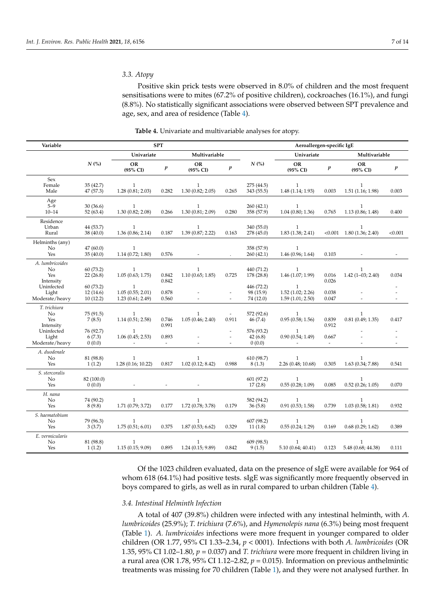Positive skin prick tests were observed in 8.0% of children and the most frequent sensitisations were to mites (67.2% of positive children), cockroaches (16.1%), and fungi (8.8%). No statistically significant associations were observed between SPT prevalence and age, sex, and area of residence (Table [4\)](#page-6-0).

<span id="page-6-0"></span>

| Variable                                              |                                   | <b>SPT</b>                                           |                                   |                                   |                  | Aeroallergen-specific IgE            |                                                      |                                   |                                    |                          |  |
|-------------------------------------------------------|-----------------------------------|------------------------------------------------------|-----------------------------------|-----------------------------------|------------------|--------------------------------------|------------------------------------------------------|-----------------------------------|------------------------------------|--------------------------|--|
|                                                       |                                   | Univariate<br>Multivariable                          |                                   |                                   |                  | Univariate                           |                                                      | Multivariable                     |                                    |                          |  |
|                                                       | $N$ (%)                           | OR<br>(95% CI)                                       | $\boldsymbol{p}$                  | OR<br>(95% CI)                    | $\boldsymbol{p}$ | $N$ (%)                              | OR<br>$(95\% \text{ CI})$                            | $\boldsymbol{p}$                  | OR<br>(95% CI)                     | $\boldsymbol{p}$         |  |
| Sex<br>Female<br>Male                                 | 35(42.7)<br>47 (57.3)             | $\mathbf{1}$<br>1.28(0.81; 2.03)                     | 0.282                             | $\mathbf{1}$<br>1.30(0.82; 2.05)  | 0.265            | 275 (44.5)<br>343 (55.5)             | $\mathbf{1}$<br>1.48(1.14; 1.93)                     | 0.003                             | $\mathbf{1}$<br>1.51(1.16; 1.98)   | 0.003                    |  |
| Age<br>$5 - 9$<br>$10 - 14$                           | 30(36.6)<br>52 (63.4)             | $\mathbf{1}$<br>1.30(0.82; 2.08)                     | 0.266                             | $\mathbf{1}$<br>1.30(0.81; 2.09)  | 0.280            | 260(42.1)<br>358 (57.9)              | $\mathbf{1}$<br>1.04(0.80; 1.36)                     | 0.765                             | $\mathbf{1}$<br>1.13(0.86; 1.48)   | 0.400                    |  |
| Residence<br>Urban<br>Rural                           | 44 (53.7)<br>38 (40.0)            | $\mathbf{1}$<br>1.36(0.86; 2.14)                     | 0.187                             | $\mathbf{1}$<br>1.39 (0.87; 2.22) | 0.163            | 340 (55.0)<br>278 (45.0)             | $\mathbf{1}$<br>1.83(1.38; 2.41)                     | < 0.001                           | $\mathbf{1}$<br>1.80(1.36; 2.40)   | < 0.001                  |  |
| Helminths (any)<br>No<br>Yes                          | 47(60.0)<br>35(40.0)              | $\mathbf{1}$<br>1.14(0.72; 1.80)                     | 0.576                             |                                   |                  | 358 (57.9)<br>260(42.1)              | $\mathbf{1}$<br>1.46(0.96; 1.64)                     | 0.103                             |                                    |                          |  |
| A. lumbricoides<br>N <sub>o</sub><br>Yes<br>Intensity | 60(73.2)<br>22(26.8)              | $\mathbf{1}$<br>1.05(0.63; 1.75)                     | 0.842<br>0.842                    | $\mathbf{1}$<br>1.10(0.65; 1.85)  | 0.725            | 440 (71.2)<br>178 (28.8)             | 1<br>1.46 (1.07; 1.99)                               | 0.016<br>0.026                    | $\mathbf{1}$<br>$1.42(1-03; 2.40)$ | 0.034                    |  |
| Uninfected<br>Light<br>Moderate/heavy                 | 60 (73.2)<br>12(14.6)<br>10(12.2) | $\mathbf{1}$<br>1.05(0.55; 2.01)<br>1.23(0.61; 2.49) | 0.878<br>0.560                    |                                   |                  | 446 (72.2)<br>98 (15.9)<br>74 (12.0) | $\mathbf{1}$<br>1.52(1.02; 2.26)<br>1.59(1.01; 2.50) | 0.038<br>0.047                    |                                    |                          |  |
| T. trichiura<br>No<br>Yes<br>Intensity                | 75 (91.5)<br>7(8.5)               | $\mathbf{1}$<br>1.14(0.51; 2.58)                     | 0.746<br>0.991                    | $\mathbf{1}$<br>1.05(0.46; 2.40)  | 0.911            | 572 (92.6)<br>46(7.4)                | $\mathbf{1}$<br>0.95(0.58; 1.56)                     | 0.839<br>0.912                    | $\mathbf{1}$<br>0.81(0.49; 1.35)   | 0.417                    |  |
| Uninfected<br>Light<br>Moderate/heavy                 | 76 (92.7)<br>6(7.3)<br>0(0.0)     | $\mathbf{1}$<br>1.06(0.45; 2.53)                     | 0.893<br>$\overline{\phantom{a}}$ |                                   | $\overline{a}$   | 576 (93.2)<br>42(6.8)<br>0(0.0)      | $\mathbf{1}$<br>0.90(0.54; 1.49)                     | 0.667<br>$\overline{\phantom{a}}$ | $\overline{a}$                     | $\overline{\phantom{a}}$ |  |
| A. duodenale<br>No<br>Yes                             | 81 (98.8)<br>1(1.2)               | $\mathbf{1}$<br>1.28(0.16; 10.22)                    | 0.817                             | $\mathbf{1}$<br>1.02(0.12; 8.42)  | 0.988            | 610 (98.7)<br>8(1.3)                 | $\mathbf{1}$<br>2.26 (0.48; 10.68)                   | 0.305                             | $\mathbf{1}$<br>1.63 (0.34; 7.88)  | 0.541                    |  |
| S. stercoralis<br>No<br>Yes                           | 82 (100.0)<br>0(0.0)              |                                                      | $\overline{\phantom{a}}$          |                                   |                  | 601 (97.2)<br>17(2.8)                | $\mathbf{1}$<br>0.55(0.28; 1.09)                     | 0.085                             | $\mathbf{1}$<br>0.52(0.26; 1.05)   | 0.070                    |  |
| H. nana<br>No<br>Yes                                  | 74 (90.2)<br>8(9.8)               | $\mathbf{1}$<br>1.71(0.79; 3.72)                     | 0.177                             | 1<br>1.72 (0.78; 3.78)            | 0.179            | 582 (94.2)<br>36(5.8)                | $\mathbf{1}$<br>0.91(0.53; 1.58)                     | 0.739                             | $\mathbf{1}$<br>1.03(0.58; 1.81)   | 0.932                    |  |
| S. haematobium<br>No<br>Yes                           | 79 (96.3)<br>3(3.7)               | $\mathbf{1}$<br>1.75(0.51; 6.01)                     | 0.375                             | $\mathbf{1}$<br>1.87(0.53; 6.62)  | 0.329            | 607 (98.2)<br>11(1.8)                | $\mathbf{1}$<br>0.55(0.24; 1.29)                     | 0.169                             | $\mathbf{1}$<br>0.68(0.29; 1.62)   | 0.389                    |  |
| E. vermicularis<br>No<br>Yes                          | 81 (98.8)<br>1(1.2)               | $\mathbf{1}$<br>1.15(0.15; 9.09)                     | 0.895                             | $\mathbf{1}$<br>1.24(0.15; 9.89)  | 0.842            | 609 (98.5)<br>9(1.5)                 | $\mathbf{1}$<br>5.10(0.64; 40.41)                    | 0.123                             | $\mathbf{1}$<br>5.48 (0.68; 44.38) | 0.111                    |  |

**Table 4.** Univariate and multivariable analyses for atopy.

Of the 1023 children evaluated, data on the presence of sIgE were available for 964 of whom 618 (64.1%) had positive tests. sIgE was significantly more frequently observed in boys compared to girls, as well as in rural compared to urban children (Table [4\)](#page-6-0).

# *3.4. Intestinal Helminth Infection*

A total of 407 (39.8%) children were infected with any intestinal helminth, with *A. lumbricoides* (25.9%); *T. trichiura* (7.6%), and *Hymenolepis nana* (6.3%) being most frequent (Table [1\)](#page-4-0). *A. lumbricoides* infections were more frequent in younger compared to older children (OR 1.77, 95% CI 1.33–2.34, *p* < 0001). Infections with both *A. lumbricoides* (OR 1.35, 95% CI 1.02–1.80,  $p = 0.037$  and *T. trichiura* were more frequent in children living in a rural area (OR 1.78, 95% CI 1.12–2.82,  $p = 0.015$ ). Information on previous anthelmintic treatments was missing for 70 children (Table [1\)](#page-4-0), and they were not analysed further. In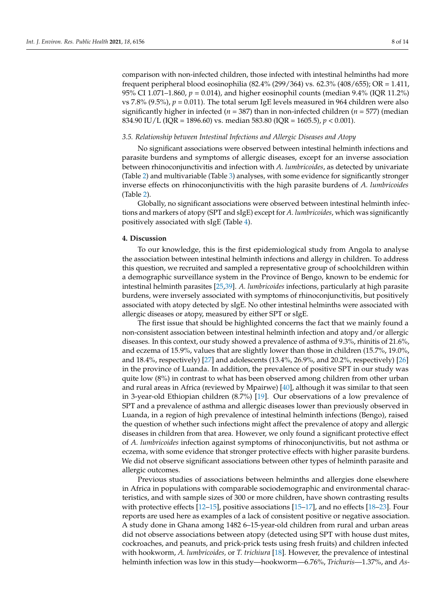comparison with non-infected children, those infected with intestinal helminths had more frequent peripheral blood eosinophilia (82.4% (299/364) vs. 62.3% (408/655); OR = 1.411, 95% CI 1.071–1.860, *p* = 0.014), and higher eosinophil counts (median 9.4% (IQR 11.2%) vs 7.8% (9.5%),  $p = 0.011$ ). The total serum IgE levels measured in 964 children were also significantly higher in infected (*n* = 387) than in non-infected children (*n* = 577) (median 834.90 IU/L (IQR = 1896.60) vs. median 583.80 (IQR = 1605.5), *p* < 0.001).

#### *3.5. Relationship between Intestinal Infections and Allergic Diseases and Atopy*

No significant associations were observed between intestinal helminth infections and parasite burdens and symptoms of allergic diseases, except for an inverse association between rhinoconjunctivitis and infection with *A. lumbricoides*, as detected by univariate (Table [2\)](#page-5-0) and multivariable (Table [3\)](#page-5-1) analyses, with some evidence for significantly stronger inverse effects on rhinoconjunctivitis with the high parasite burdens of *A. lumbricoides* (Table [2\)](#page-5-0).

Globally, no significant associations were observed between intestinal helminth infections and markers of atopy (SPT and sIgE) except for *A. lumbricoides*, which was significantly positively associated with sIgE (Table [4\)](#page-6-0).

### **4. Discussion**

To our knowledge, this is the first epidemiological study from Angola to analyse the association between intestinal helminth infections and allergy in children. To address this question, we recruited and sampled a representative group of schoolchildren within a demographic surveillance system in the Province of Bengo, known to be endemic for intestinal helminth parasites [\[25](#page-12-1)[,39\]](#page-12-15). *A. lumbricoides* infections, particularly at high parasite burdens, were inversely associated with symptoms of rhinoconjunctivitis, but positively associated with atopy detected by sIgE. No other intestinal helminths were associated with allergic diseases or atopy, measured by either SPT or sIgE.

The first issue that should be highlighted concerns the fact that we mainly found a non-consistent association between intestinal helminth infection and atopy and/or allergic diseases. In this context, our study showed a prevalence of asthma of 9.3%, rhinitis of 21.6%, and eczema of 15.9%, values that are slightly lower than those in children (15.7%, 19.0%, and 18.4%, respectively) [\[27\]](#page-12-3) and adolescents (13.4%, 26.9%, and 20.2%, respectively) [\[26\]](#page-12-2) in the province of Luanda. In addition, the prevalence of positive SPT in our study was quite low (8%) in contrast to what has been observed among children from other urban and rural areas in Africa (reviewed by Mpairwe) [\[40\]](#page-12-16), although it was similar to that seen in 3-year-old Ethiopian children (8.7%) [\[19\]](#page-11-13). Our observations of a low prevalence of SPT and a prevalence of asthma and allergic diseases lower than previously observed in Luanda, in a region of high prevalence of intestinal helminth infections (Bengo), raised the question of whether such infections might affect the prevalence of atopy and allergic diseases in children from that area. However, we only found a significant protective effect of *A. lumbricoides* infection against symptoms of rhinoconjunctivitis, but not asthma or eczema, with some evidence that stronger protective effects with higher parasite burdens. We did not observe significant associations between other types of helminth parasite and allergic outcomes.

Previous studies of associations between helminths and allergies done elsewhere in Africa in populations with comparable sociodemographic and environmental characteristics, and with sample sizes of 300 or more children, have shown contrasting results with protective effects [\[12–](#page-11-11)[15\]](#page-11-14), positive associations [\[15–](#page-11-14)[17\]](#page-11-15), and no effects [\[18](#page-11-16)[–23\]](#page-11-12). Four reports are used here as examples of a lack of consistent positive or negative association. A study done in Ghana among 1482 6–15-year-old children from rural and urban areas did not observe associations between atopy (detected using SPT with house dust mites, cockroaches, and peanuts, and prick-prick tests using fresh fruits) and children infected with hookworm, *A. lumbricoides,* or *T. trichiura* [\[18\]](#page-11-16). However, the prevalence of intestinal helminth infection was low in this study—hookworm—6.76%, *Trichuris*—1.37%, and *As-*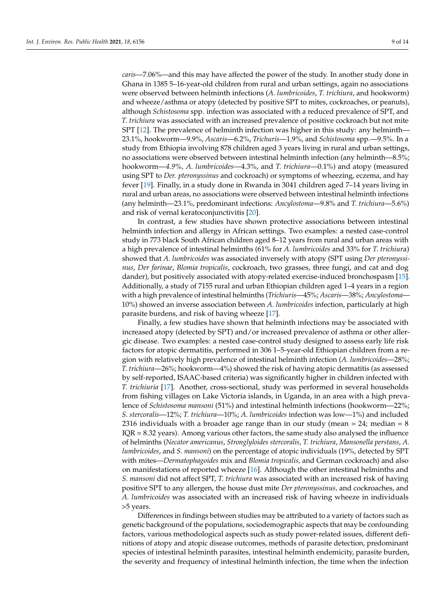*caris*—7.06%—and this may have affected the power of the study. In another study done in Ghana in 1385 5–16-year-old children from rural and urban settings, again no associations were observed between helminth infections (*A. lumbricoides*, *T. trichiura*, and hookworm) and wheeze/asthma or atopy (detected by positive SPT to mites, cockroaches, or peanuts), although *Schistosoma* spp. infection was associated with a reduced prevalence of SPT, and *T. trichiura* was associated with an increased prevalence of positive cockroach but not mite SPT [\[12\]](#page-11-11). The prevalence of helminth infection was higher in this study: any helminth-23.1%, hookworm—9.9%, *Ascaris*—6.2%, *Trichuris*—1.9%, and *Schistosoma* spp.—9.5%. In a study from Ethiopia involving 878 children aged 3 years living in rural and urban settings, no associations were observed between intestinal helminth infection (any helminth—8.5%; hookworm—*4.9%, A. lumbricoides*—4.3%, and *T. trichiura*—0.1%) and atopy (measured using SPT to *Der. pteronyssinus* and cockroach) or symptoms of wheezing, eczema, and hay fever [\[19\]](#page-11-13). Finally, in a study done in Rwanda in 3041 children aged 7–14 years living in rural and urban areas, no associations were observed between intestinal helminth infections (any helminth—23.1%, predominant infections: *Ancylostoma*—9.8% and *T. trichiura*—5.6%) and risk of vernal keratoconjunctivitis [\[20\]](#page-11-17).

In contrast, a few studies have shown protective associations between intestinal helminth infection and allergy in African settings. Two examples: a nested case-control study in 773 black South African children aged 8–12 years from rural and urban areas with a high prevalence of intestinal helminths (61% for *A. lumbricoides* and 33% for *T. trichiur*a) showed that *A. lumbricoides* was associated inversely with atopy (SPT using *Der pteronyssinus*, *Der farinae*, *Blomia tropicalis*, cockroach, two grasses, three fungi, and cat and dog dander), but positively associated with atopy-related exercise-induced bronchospasm [\[15\]](#page-11-14). Additionally, a study of 7155 rural and urban Ethiopian children aged 1–4 years in a region with a high prevalence of intestinal helminths (*Trichiuris*—45%; *Ascaris*—38%; *Ancylostoma*— 10%) showed an inverse association between *A. lumbricoides* infection, particularly at high parasite burdens, and risk of having wheeze [\[17\]](#page-11-15).

Finally, a few studies have shown that helminth infections may be associated with increased atopy (detected by SPT) and/or increased prevalence of asthma or other allergic disease. Two examples: a nested case-control study designed to assess early life risk factors for atopic dermatitis, performed in 306 1–5-year-old Ethiopian children from a region with relatively high prevalence of intestinal helminth infection (*A. lumbricoides*—28%; *T. trichiura*—26%; hookworm—4%) showed the risk of having atopic dermatitis (as assessed by self-reported, ISAAC-based criteria) was significantly higher in children infected with *T. trichiuria* [\[17\]](#page-11-15). Another, cross-sectional, study was performed in several households from fishing villages on Lake Victoria islands, in Uganda, in an area with a high prevalence of *Schistosoma mansoni* (51%) and intestinal helminth infections (hookworm—22%; *S. stercoralis*—12%; *T. trichiura*—10%; *A. lumbricoides* infection was low—1%) and included 2316 individuals with a broader age range than in our study (mean  $= 24$ ; median  $= 8$ ) IQR = 8.32 years). Among various other factors, the same study also analysed the influence of helminths (*Necator americanus*, *Stronglyloides stercoralis*, *T. trichiura*, *Mansonella perstans*, *A. lumbricoides*, and *S. mansoni*) on the percentage of atopic individuals (19%, detected by SPT with mites—*Dermatophagoides* mix and *Blomia tropicalis,* and German cockroach) and also on manifestations of reported wheeze [\[16\]](#page-11-18). Although the other intestinal helminths and *S. mansoni* did not affect SPT, *T. trichiura* was associated with an increased risk of having positive SPT to any allergen, the house dust mite *Der pteronyssinus,* and cockroaches, and *A. lumbricoides* was associated with an increased risk of having wheeze in individuals >5 years.

Differences in findings between studies may be attributed to a variety of factors such as genetic background of the populations, sociodemographic aspects that may be confounding factors, various methodological aspects such as study power-related issues, different definitions of atopy and atopic disease outcomes, methods of parasite detection, predominant species of intestinal helminth parasites, intestinal helminth endemicity, parasite burden, the severity and frequency of intestinal helminth infection, the time when the infection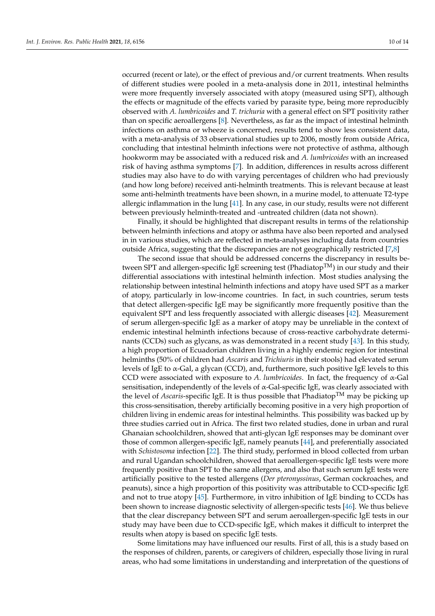occurred (recent or late), or the effect of previous and/or current treatments. When results of different studies were pooled in a meta-analysis done in 2011, intestinal helminths were more frequently inversely associated with atopy (measured using SPT), although the effects or magnitude of the effects varied by parasite type, being more reproducibly observed with *A. lumbricoides* and *T. trichuria* with a general effect on SPT positivity rather than on specific aeroallergens [\[8\]](#page-11-7). Nevertheless, as far as the impact of intestinal helminth infections on asthma or wheeze is concerned, results tend to show less consistent data, with a meta-analysis of 33 observational studies up to 2006, mostly from outside Africa, concluding that intestinal helminth infections were not protective of asthma, although hookworm may be associated with a reduced risk and *A. lumbricoides* with an increased risk of having asthma symptoms [\[7\]](#page-11-6). In addition, differences in results across different studies may also have to do with varying percentages of children who had previously (and how long before) received anti-helminth treatments. This is relevant because at least some anti-helminth treatments have been shown, in a murine model, to attenuate T2-type allergic inflammation in the lung [\[41\]](#page-12-17). In any case, in our study, results were not different between previously helminth-treated and -untreated children (data not shown).

Finally, it should be highlighted that discrepant results in terms of the relationship between helminth infections and atopy or asthma have also been reported and analysed in in various studies, which are reflected in meta-analyses including data from countries outside Africa, suggesting that the discrepancies are not geographically restricted [\[7,](#page-11-6)[8\]](#page-11-7)

The second issue that should be addressed concerns the discrepancy in results between SPT and allergen-specific IgE screening test (Phadiatop<sup>TM</sup>) in our study and their differential associations with intestinal helminth infection. Most studies analysing the relationship between intestinal helminth infections and atopy have used SPT as a marker of atopy, particularly in low-income countries. In fact, in such countries, serum tests that detect allergen-specific IgE may be significantly more frequently positive than the equivalent SPT and less frequently associated with allergic diseases [\[42\]](#page-12-18). Measurement of serum allergen-specific IgE as a marker of atopy may be unreliable in the context of endemic intestinal helminth infections because of cross-reactive carbohydrate determinants (CCDs) such as glycans, as was demonstrated in a recent study [\[43\]](#page-12-19). In this study, a high proportion of Ecuadorian children living in a highly endemic region for intestinal helminths (50% of children had *Ascaris* and *Trichiuris* in their stools) had elevated serum levels of IgE to  $\alpha$ -Gal, a glycan (CCD), and, furthermore, such positive IgE levels to this CCD were associated with exposure to *A. lumbricoides*. In fact, the frequency of α-Gal sensitisation, independently of the levels of  $\alpha$ -Gal-specific IgE, was clearly associated with the level of *Ascaris*-specific IgE. It is thus possible that Phadiatop<sup>TM</sup> may be picking up this cross-sensitisation, thereby artificially becoming positive in a very high proportion of children living in endemic areas for intestinal helminths. This possibility was backed up by three studies carried out in Africa. The first two related studies, done in urban and rural Ghanaian schoolchildren, showed that anti-glycan IgE responses may be dominant over those of common allergen-specific IgE, namely peanuts [\[44\]](#page-12-20), and preferentially associated with *Schistosoma* infection [\[22\]](#page-11-19). The third study, performed in blood collected from urban and rural Ugandan schoolchildren, showed that aeroallergen-specific IgE tests were more frequently positive than SPT to the same allergens, and also that such serum IgE tests were artificially positive to the tested allergens (*Der pteronyssinus*, German cockroaches, and peanuts), since a high proportion of this positivity was attributable to CCD-specific IgE and not to true atopy [\[45\]](#page-12-21). Furthermore, in vitro inhibition of IgE binding to CCDs has been shown to increase diagnostic selectivity of allergen-specific tests [\[46\]](#page-12-22). We thus believe that the clear discrepancy between SPT and serum aeroallergen-specific IgE tests in our study may have been due to CCD-specific IgE, which makes it difficult to interpret the results when atopy is based on specific IgE tests.

Some limitations may have influenced our results. First of all, this is a study based on the responses of children, parents, or caregivers of children, especially those living in rural areas, who had some limitations in understanding and interpretation of the questions of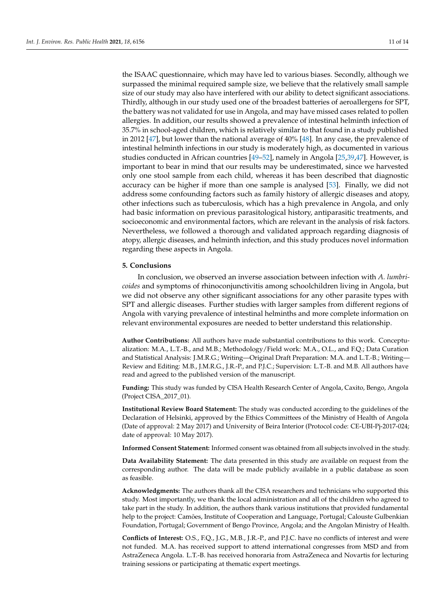the ISAAC questionnaire, which may have led to various biases. Secondly, although we surpassed the minimal required sample size, we believe that the relatively small sample size of our study may also have interfered with our ability to detect significant associations. Thirdly, although in our study used one of the broadest batteries of aeroallergens for SPT, the battery was not validated for use in Angola, and may have missed cases related to pollen allergies. In addition, our results showed a prevalence of intestinal helminth infection of 35.7% in school-aged children, which is relatively similar to that found in a study published in 2012 [\[47\]](#page-12-23), but lower than the national average of 40% [\[48\]](#page-12-24). In any case, the prevalence of intestinal helminth infections in our study is moderately high, as documented in various studies conducted in African countries [\[49](#page-13-0)[–52\]](#page-13-1), namely in Angola [\[25,](#page-12-1)[39,](#page-12-15)[47\]](#page-12-23). However, is important to bear in mind that our results may be underestimated, since we harvested only one stool sample from each child, whereas it has been described that diagnostic accuracy can be higher if more than one sample is analysed [\[53\]](#page-13-2). Finally, we did not address some confounding factors such as family history of allergic diseases and atopy, other infections such as tuberculosis, which has a high prevalence in Angola, and only had basic information on previous parasitological history, antiparasitic treatments, and socioeconomic and environmental factors, which are relevant in the analysis of risk factors. Nevertheless, we followed a thorough and validated approach regarding diagnosis of atopy, allergic diseases, and helminth infection, and this study produces novel information regarding these aspects in Angola.

#### **5. Conclusions**

In conclusion, we observed an inverse association between infection with *A. lumbricoides* and symptoms of rhinoconjunctivitis among schoolchildren living in Angola, but we did not observe any other significant associations for any other parasite types with SPT and allergic diseases. Further studies with larger samples from different regions of Angola with varying prevalence of intestinal helminths and more complete information on relevant environmental exposures are needed to better understand this relationship.

**Author Contributions:** All authors have made substantial contributions to this work. Conceptualization: M.A., L.T.-B., and M.B.; Methodology/Field work: M.A., O.L., and F.Q.; Data Curation and Statistical Analysis: J.M.R.G.; Writing—Original Draft Preparation: M.A. and L.T.-B.; Writing— Review and Editing: M.B., J.M.R.G., J.R.-P., and P.J.C.; Supervision: L.T.-B. and M.B. All authors have read and agreed to the published version of the manuscript.

**Funding:** This study was funded by CISA Health Research Center of Angola, Caxito, Bengo, Angola (Project CISA\_2017\_01).

**Institutional Review Board Statement:** The study was conducted according to the guidelines of the Declaration of Helsinki, approved by the Ethics Committees of the Ministry of Health of Angola (Date of approval: 2 May 2017) and University of Beira Interior (Protocol code: CE-UBI-Pj-2017-024; date of approval: 10 May 2017).

**Informed Consent Statement:** Informed consent was obtained from all subjects involved in the study.

**Data Availability Statement:** The data presented in this study are available on request from the corresponding author. The data will be made publicly available in a public database as soon as feasible.

**Acknowledgments:** The authors thank all the CISA researchers and technicians who supported this study. Most importantly, we thank the local administration and all of the children who agreed to take part in the study. In addition, the authors thank various institutions that provided fundamental help to the project: Camões, Institute of Cooperation and Language, Portugal; Calouste Gulbenkian Foundation, Portugal; Government of Bengo Province, Angola; and the Angolan Ministry of Health.

**Conflicts of Interest:** O.S., F.Q., J.G., M.B., J.R.-P., and P.J.C. have no conflicts of interest and were not funded. M.A. has received support to attend international congresses from MSD and from AstraZeneca Angola. L.T.-B. has received honoraria from AstraZeneca and Novartis for lecturing training sessions or participating at thematic expert meetings.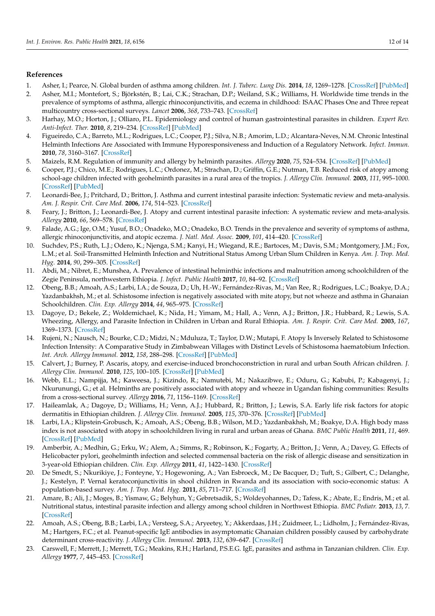# **References**

- <span id="page-11-0"></span>1. Asher, I.; Pearce, N. Global burden of asthma among children. *Int. J. Tuberc. Lung Dis.* **2014**, *18*, 1269–1278. [\[CrossRef\]](http://doi.org/10.5588/ijtld.14.0170) [\[PubMed\]](http://www.ncbi.nlm.nih.gov/pubmed/25299857)
- <span id="page-11-1"></span>2. Asher, M.I.; Montefort, S.; Björkstén, B.; Lai, C.K.; Strachan, D.P.; Weiland, S.K.; Williams, H. Worldwide time trends in the prevalence of symptoms of asthma, allergic rhinoconjunctivitis, and eczema in childhood: ISAAC Phases One and Three repeat multicountry cross-sectional surveys. *Lancet* **2006**, *368*, 733–743. [\[CrossRef\]](http://doi.org/10.1016/S0140-6736(06)69283-0)
- <span id="page-11-2"></span>3. Harhay, M.O.; Horton, J.; Olliaro, P.L. Epidemiology and control of human gastrointestinal parasites in children. *Expert Rev. Anti-Infect. Ther.* **2010**, *8*, 219–234. [\[CrossRef\]](http://doi.org/10.1586/eri.09.119) [\[PubMed\]](http://www.ncbi.nlm.nih.gov/pubmed/20109051)
- <span id="page-11-3"></span>4. Figueiredo, C.A.; Barreto, M.L.; Rodrigues, L.C.; Cooper, P.J.; Silva, N.B.; Amorim, L.D.; Alcantara-Neves, N.M. Chronic Intestinal Helminth Infections Are Associated with Immune Hyporesponsiveness and Induction of a Regulatory Network. *Infect. Immun.* **2010**, *78*, 3160–3167. [\[CrossRef\]](http://doi.org/10.1128/IAI.01228-09)
- <span id="page-11-4"></span>5. Maizels, R.M. Regulation of immunity and allergy by helminth parasites. *Allergy* **2020**, *75*, 524–534. [\[CrossRef\]](http://doi.org/10.1111/all.13944) [\[PubMed\]](http://www.ncbi.nlm.nih.gov/pubmed/31187881)
- <span id="page-11-5"></span>6. Cooper, P.J.; Chico, M.E.; Rodrigues, L.C.; Ordonez, M.; Strachan, D.; Griffin, G.E.; Nutman, T.B. Reduced risk of atopy among school-age children infected with geohelminth parasites in a rural area of the tropics. *J. Allergy Clin. Immunol.* **2003**, *111*, 995–1000. [\[CrossRef\]](http://doi.org/10.1067/mai.2003.1348) [\[PubMed\]](http://www.ncbi.nlm.nih.gov/pubmed/12743563)
- <span id="page-11-6"></span>7. Leonardi-Bee, J.; Pritchard, D.; Britton, J. Asthma and current intestinal parasite infection: Systematic review and meta-analysis. *Am. J. Respir. Crit. Care Med.* **2006**, *174*, 514–523. [\[CrossRef\]](http://doi.org/10.1164/rccm.200603-331OC)
- <span id="page-11-7"></span>8. Feary, J.; Britton, J.; Leonardi-Bee, J. Atopy and current intestinal parasite infection: A systematic review and meta-analysis. *Allergy* **2010**, *66*, 569–578. [\[CrossRef\]](http://doi.org/10.1111/j.1398-9995.2010.02512.x)
- <span id="page-11-8"></span>9. Falade, A.G.; Ige, O.M.; Yusuf, B.O.; Onadeko, M.O.; Onadeko, B.O. Trends in the prevalence and severity of symptoms of asthma, allergic rhinoconjunctivitis, and atopic eczema. *J. Natl. Med. Assoc.* **2009**, *101*, 414–420. [\[CrossRef\]](http://doi.org/10.1016/S0027-9684(15)30925-1)
- <span id="page-11-9"></span>10. Suchdev, P.S.; Ruth, L.J.; Odero, K.; Njenga, S.M.; Kanyi, H.; Wiegand, R.E.; Bartoces, M.; Davis, S.M.; Montgomery, J.M.; Fox, L.M.; et al. Soil-Transmitted Helminth Infection and Nutritional Status Among Urban Slum Children in Kenya. *Am. J. Trop. Med. Hyg.* **2014**, *90*, 299–305. [\[CrossRef\]](http://doi.org/10.4269/ajtmh.13-0560)
- <span id="page-11-10"></span>11. Abdi, M.; Nibret, E.; Munshea, A. Prevalence of intestinal helminthic infections and malnutrition among schoolchildren of the Zegie Peninsula, northwestern Ethiopia. *J. Infect. Public Health* **2017**, *10*, 84–92. [\[CrossRef\]](http://doi.org/10.1016/j.jiph.2016.02.009)
- <span id="page-11-11"></span>12. Obeng, B.B.; Amoah, A.S.; Larbi, I.A.; de Souza, D.; Uh, H.-W.; Fernández-Rivas, M.; Van Ree, R.; Rodrigues, L.C.; Boakye, D.A.; Yazdanbakhsh, M.; et al. Schistosome infection is negatively associated with mite atopy, but not wheeze and asthma in Ghanaian Schoolchildren. *Clin. Exp. Allergy* **2014**, *44*, 965–975. [\[CrossRef\]](http://doi.org/10.1111/cea.12307)
- 13. Dagoye, D.; Bekele, Z.; Woldemichael, K.; Nida, H.; Yimam, M.; Hall, A.; Venn, A.J.; Britton, J.R.; Hubbard, R.; Lewis, S.A. Wheezing, Allergy, and Parasite Infection in Children in Urban and Rural Ethiopia. *Am. J. Respir. Crit. Care Med.* **2003**, *167*, 1369–1373. [\[CrossRef\]](http://doi.org/10.1164/rccm.200210-1204OC)
- 14. Rujeni, N.; Nausch, N.; Bourke, C.D.; Midzi, N.; Mduluza, T.; Taylor, D.W.; Mutapi, F. Atopy Is Inversely Related to Schistosome Infection Intensity: A Comparative Study in Zimbabwean Villages with Distinct Levels of Schistosoma haematobium Infection. *Int. Arch. Allergy Immunol.* **2012**, *158*, 288–298. [\[CrossRef\]](http://doi.org/10.1159/000332949) [\[PubMed\]](http://www.ncbi.nlm.nih.gov/pubmed/22398631)
- <span id="page-11-14"></span>15. Calvert, J.; Burney, P. Ascaris, atopy, and exercise-induced bronchoconstriction in rural and urban South African children. *J. Allergy Clin. Immunol.* **2010**, *125*, 100–105. [\[CrossRef\]](http://doi.org/10.1016/j.jaci.2009.09.010) [\[PubMed\]](http://www.ncbi.nlm.nih.gov/pubmed/19962746)
- <span id="page-11-18"></span>16. Webb, E.L.; Nampijja, M.; Kaweesa, J.; Kizindo, R.; Namutebi, M.; Nakazibwe, E.; Oduru, G.; Kabubi, P.; Kabagenyi, J.; Nkurunungi, G.; et al. Helminths are positively associated with atopy and wheeze in Ugandan fishing communities: Results from a cross-sectional survey. *Allergy* **2016**, *71*, 1156–1169. [\[CrossRef\]](http://doi.org/10.1111/all.12867)
- <span id="page-11-15"></span>17. Haileamlak, A.; Dagoye, D.; Williams, H.; Venn, A.J.; Hubbard, R.; Britton, J.; Lewis, S.A. Early life risk factors for atopic dermatitis in Ethiopian children. *J. Allergy Clin. Immunol.* **2005**, *115*, 370–376. [\[CrossRef\]](http://doi.org/10.1016/j.jaci.2004.10.024) [\[PubMed\]](http://www.ncbi.nlm.nih.gov/pubmed/15696097)
- <span id="page-11-16"></span>18. Larbi, I.A.; Klipstein-Grobusch, K.; Amoah, A.S.; Obeng, B.B.; Wilson, M.D.; Yazdanbakhsh, M.; Boakye, D.A. High body mass index is not associated with atopy in schoolchildren living in rural and urban areas of Ghana. *BMC Public Health* **2011**, *11*, 469. [\[CrossRef\]](http://doi.org/10.1186/1471-2458-11-469) [\[PubMed\]](http://www.ncbi.nlm.nih.gov/pubmed/21669010)
- <span id="page-11-13"></span>19. Amberbir, A.; Medhin, G.; Erku, W.; Alem, A.; Simms, R.; Robinson, K.; Fogarty, A.; Britton, J.; Venn, A.; Davey, G. Effects of Helicobacter pylori, geohelminth infection and selected commensal bacteria on the risk of allergic disease and sensitization in 3-year-old Ethiopian children. *Clin. Exp. Allergy* **2011**, *41*, 1422–1430. [\[CrossRef\]](http://doi.org/10.1111/j.1365-2222.2011.03831.x)
- <span id="page-11-17"></span>20. De Smedt, S.; Nkurikiye, J.; Fonteyne, Y.; Hogewoning, A.; Van Esbroeck, M.; De Bacquer, D.; Tuft, S.; Gilbert, C.; Delanghe, J.; Kestelyn, P. Vernal keratoconjunctivitis in shool children in Rwanda and its association with socio-economic status: A population-based survey. *Am. J. Trop. Med. Hyg.* **2011**, *85*, 711–717. [\[CrossRef\]](http://doi.org/10.4269/ajtmh.2011.11-0291)
- 21. Amare, B.; Ali, J.; Moges, B.; Yismaw, G.; Belyhun, Y.; Gebretsadik, S.; Woldeyohannes, D.; Tafess, K.; Abate, E.; Endris, M.; et al. Nutritional status, intestinal parasite infection and allergy among school children in Northwest Ethiopia. *BMC Pediatr.* **2013**, *13*, 7. [\[CrossRef\]](http://doi.org/10.1186/1471-2431-13-7)
- <span id="page-11-19"></span>22. Amoah, A.S.; Obeng, B.B.; Larbi, I.A.; Versteeg, S.A.; Aryeetey, Y.; Akkerdaas, J.H.; Zuidmeer, L.; Lidholm, J.; Fernández-Rivas, M.; Hartgers, F.C.; et al. Peanut-specific IgE antibodies in asymptomatic Ghanaian children possibly caused by carbohydrate determinant cross-reactivity. *J. Allergy Clin. Immunol.* **2013**, *132*, 639–647. [\[CrossRef\]](http://doi.org/10.1016/j.jaci.2013.04.023)
- <span id="page-11-12"></span>23. Carswell, F.; Merrett, J.; Merrett, T.G.; Meakins, R.H.; Harland, P.S.E.G. IgE, parasites and asthma in Tanzanian children. *Clin. Exp. Allergy* **1977**, *7*, 445–453. [\[CrossRef\]](http://doi.org/10.1111/j.1365-2222.1977.tb01475.x)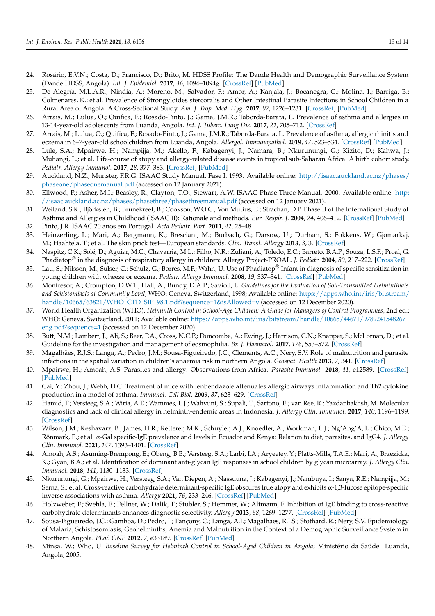- <span id="page-12-0"></span>24. Rosário, E.V.N.; Costa, D.; Francisco, D.; Brito, M. HDSS Profile: The Dande Health and Demographic Surveillance System (Dande HDSS, Angola). *Int. J. Epidemiol.* **2017**, *46*, 1094–1094g. [\[CrossRef\]](http://doi.org/10.1093/ije/dyx072) [\[PubMed\]](http://www.ncbi.nlm.nih.gov/pubmed/28541528)
- <span id="page-12-1"></span>25. De Alegría, M.L.A.R.; Nindia, A.; Moreno, M.; Salvador, F.; Amor, A.; Kanjala, J.; Bocanegra, C.; Molina, I.; Barriga, B.; Colmenares, K.; et al. Prevalence of Strongyloides stercoralis and Other Intestinal Parasite Infections in School Children in a Rural Area of Angola: A Cross-Sectional Study. *Am. J. Trop. Med. Hyg.* **2017**, *97*, 1226–1231. [\[CrossRef\]](http://doi.org/10.4269/ajtmh.17-0159) [\[PubMed\]](http://www.ncbi.nlm.nih.gov/pubmed/28820707)
- <span id="page-12-2"></span>26. Arrais, M.; Lulua, O.; Quifica, F.; Rosado-Pinto, J.; Gama, J.M.R.; Taborda-Barata, L. Prevalence of asthma and allergies in 13-14-year-old adolescents from Luanda, Angola. *Int. J. Tuberc. Lung Dis.* **2017**, *21*, 705–712. [\[CrossRef\]](http://doi.org/10.5588/ijtld.16.0530)
- <span id="page-12-3"></span>27. Arrais, M.; Lulua, O.; Quifica, F.; Rosado-Pinto, J.; Gama, J.M.R.; Taborda-Barata, L. Prevalence of asthma, allergic rhinitis and eczema in 6–7-year-old schoolchildren from Luanda, Angola. *Allergol. Immunopathol.* **2019**, *47*, 523–534. [\[CrossRef\]](http://doi.org/10.1016/j.aller.2018.12.002) [\[PubMed\]](http://www.ncbi.nlm.nih.gov/pubmed/30745247)
- <span id="page-12-4"></span>28. Lule, S.A.; Mpairwe, H.; Nampijja, M.; Akello, F.; Kabagenyi, J.; Namara, B.; Nkurunungi, G.; Kizito, D.; Kahwa, J.; Muhangi, L.; et al. Life-course of atopy and allergy-related disease events in tropical sub-Saharan Africa: A birth cohort study. *Pediatr. Allergy Immunol.* **2017**, *28*, 377–383. [\[CrossRef\]](http://doi.org/10.1111/pai.12719) [\[PubMed\]](http://www.ncbi.nlm.nih.gov/pubmed/28339128)
- <span id="page-12-5"></span>29. Auckland, N.Z.; Munster, F.R.G. ISAAC Study Manual, Fase I. 1993. Available online: [http://isaac.auckland.ac.nz/phases/](http://isaac.auckland.ac.nz/phases/phaseone/phaseonemanual.pdf) [phaseone/phaseonemanual.pdf](http://isaac.auckland.ac.nz/phases/phaseone/phaseonemanual.pdf) (accessed on 12 January 2021).
- <span id="page-12-6"></span>30. Ellwood, P.; Asher, M.I.; Beasley, R.; Clayton, T.O.; Stewart, A.W. ISAAC-Phase Three Manual. 2000. Available online: [http:](http://isaac.auckland.ac.nz/phases/phasethree/phasethreemanual.pdf) [//isaac.auckland.ac.nz/phases/phasethree/phasethreemanual.pdf](http://isaac.auckland.ac.nz/phases/phasethree/phasethreemanual.pdf) (accessed on 12 January 2021).
- <span id="page-12-7"></span>31. Weiland, S.K.; Björkstén, B.; Brunekreef, B.; Cookson, W.O.C.; Von Mutius, E.; Strachan, D.P. Phase II of the International Study of Asthma and Allergies in Childhood (ISAAC II): Rationale and methods. *Eur. Respir. J.* **2004**, *24*, 406–412. [\[CrossRef\]](http://doi.org/10.1183/09031936.04.00090303) [\[PubMed\]](http://www.ncbi.nlm.nih.gov/pubmed/15358699)
- <span id="page-12-8"></span>32. Pinto, J.R. ISAAC 20 anos em Portugal. *Acta Pediatr. Port.* **2011**, *42*, 25–48.
- <span id="page-12-9"></span>33. Heinzerling, L.; Mari, A.; Bergmann, K.; Bresciani, M.; Burbach, G.; Darsow, U.; Durham, S.; Fokkens, W.; Gjomarkaj, M.; Haahtela, T.; et al. The skin prick test—European standards. *Clin. Transl. Allergy* **2013**, *3*, 3. [\[CrossRef\]](http://doi.org/10.1186/2045-7022-3-3)
- <span id="page-12-10"></span>34. Naspitz, C.K.; Solé, D.; Aguiar, M.C.; Chavarria, M.L.; Filho, N.R.; Zuliani, A.; Toledo, E.C.; Barreto, B.A.P.; Souza, L.S.F.; Proal, G. Phadiatop® in the diagnosis of respiratory allergy in children: Allergy Project-PROAL. *J. Pediatr.* **2004**, *80*, 217–222. [\[CrossRef\]](http://doi.org/10.2223/1186)
- <span id="page-12-11"></span>35. Lau, S.; Nilsson, M.; Sulser, C.; Schulz, G.; Borres, M.P.; Wahn, U. Use of Phadiatop® Infant in diagnosis of specific sensitization in young children with wheeze or eczema. *Pediatr. Allergy Immunol.* **2008**, *19*, 337–341. [\[CrossRef\]](http://doi.org/10.1111/j.1399-3038.2007.00649.x) [\[PubMed\]](http://www.ncbi.nlm.nih.gov/pubmed/18221462)
- <span id="page-12-12"></span>36. Montresor, A.; Crompton, D.W.T.; Hall, A.; Bundy, D.A.P.; Savioli, L. *Guidelines for the Evaluation of Soil-Transmitted Helminthiais and Schistomiasis at Community Level*; WHO: Geneva, Switzerland, 1998; Available online: [https://apps.who.int/iris/bitstream/](https://apps.who.int/iris/bitstream/handle/10665/63821/WHO_CTD_SIP_98.1.pdf?sequence=1&isAllowed=y) [handle/10665/63821/WHO\\_CTD\\_SIP\\_98.1.pdf?sequence=1&isAllowed=y](https://apps.who.int/iris/bitstream/handle/10665/63821/WHO_CTD_SIP_98.1.pdf?sequence=1&isAllowed=y) (accessed on 12 December 2020).
- <span id="page-12-13"></span>37. World Health Organization (WHO). *Helminth Control in School-Age Children: A Guide for Managers of Control Programmes*, 2nd ed.; WHO: Geneva, Switzerland, 2011; Available online: [https://apps.who.int/iris/bitstream/handle/10665/44671/9789241548267\\_](https://apps.who.int/iris/bitstream/handle/10665/44671/9789241548267_eng.pdf?sequence=1) [eng.pdf?sequence=1](https://apps.who.int/iris/bitstream/handle/10665/44671/9789241548267_eng.pdf?sequence=1) (accessed on 12 December 2020).
- <span id="page-12-14"></span>38. Butt, N.M.; Lambert, J.; Ali, S.; Beer, P.A.; Cross, N.C.P.; Duncombe, A.; Ewing, J.; Harrison, C.N.; Knapper, S.; McLornan, D.; et al. Guideline for the investigation and management of eosinophilia. *Br. J. Haematol.* **2017**, *176*, 553–572. [\[CrossRef\]](http://doi.org/10.1111/bjh.14488)
- <span id="page-12-15"></span>39. Magalhães, R.J.S.; Langa, A.; Pedro, J.M.; Sousa-Figueiredo, J.C.; Clements, A.C.; Nery, S.V. Role of malnutrition and parasite infections in the spatial variation in children's anaemia risk in northern Angola. *Geospat. Health* **2013**, *7*, 341. [\[CrossRef\]](http://doi.org/10.4081/gh.2013.91)
- <span id="page-12-16"></span>40. Mpairwe, H.; Amoah, A.S. Parasites and allergy: Observations from Africa. *Parasite Immunol.* **2018**, *41*, e12589. [\[CrossRef\]](http://doi.org/10.1111/pim.12589) [\[PubMed\]](http://www.ncbi.nlm.nih.gov/pubmed/30216486)
- <span id="page-12-17"></span>41. Cai, Y.; Zhou, J.; Webb, D.C. Treatment of mice with fenbendazole attenuates allergic airways inflammation and Th2 cytokine production in a model of asthma. *Immunol. Cell Biol.* **2009**, *87*, 623–629. [\[CrossRef\]](http://doi.org/10.1038/icb.2009.47)
- <span id="page-12-18"></span>42. Hamid, F.; Versteeg, S.A.; Wiria, A.E.; Wammes, L.J.; Wahyuni, S.; Supali, T.; Sartono, E.; van Ree, R.; Yazdanbakhsh, M. Molecular diagnostics and lack of clinical allergy in helminth-endemic areas in Indonesia. *J. Allergy Clin. Immunol.* **2017**, *140*, 1196–1199. [\[CrossRef\]](http://doi.org/10.1016/j.jaci.2017.04.040)
- <span id="page-12-19"></span>43. Wilson, J.M.; Keshavarz, B.; James, H.R.; Retterer, M.K.; Schuyler, A.J.; Knoedler, A.; Workman, L.J.; Ng'Ang'A, L.; Chico, M.E.; Rönmark, E.; et al. α-Gal specific-IgE prevalence and levels in Ecuador and Kenya: Relation to diet, parasites, and IgG4. *J. Allergy Clin. Immunol.* **2021**, *147*, 1393–1401. [\[CrossRef\]](http://doi.org/10.1016/j.jaci.2020.12.650)
- <span id="page-12-20"></span>44. Amoah, A.S.; Asuming-Brempong, E.; Obeng, B.B.; Versteeg, S.A.; Larbi, I.A.; Aryeetey, Y.; Platts-Mills, T.A.E.; Mari, A.; Brzezicka, K.; Gyan, B.A.; et al. Identification of dominant anti-glycan IgE responses in school children by glycan microarray. *J. Allergy Clin. Immunol.* **2018**, *141*, 1130–1133. [\[CrossRef\]](http://doi.org/10.1016/j.jaci.2017.09.040)
- <span id="page-12-21"></span>45. Nkurunungi, G.; Mpairwe, H.; Versteeg, S.A.; Van Diepen, A.; Nassuuna, J.; Kabagenyi, J.; Nambuya, I.; Sanya, R.E.; Nampijja, M.; Serna, S.; et al. Cross-reactive carbohydrate determinant-specific IgE obscures true atopy and exhibits α-1,3-fucose epitope-specific inverse associations with asthma. *Allergy* **2021**, *76*, 233–246. [\[CrossRef\]](http://doi.org/10.1111/all.14469) [\[PubMed\]](http://www.ncbi.nlm.nih.gov/pubmed/32568414)
- <span id="page-12-22"></span>46. Holzweber, F.; Svehla, E.; Fellner, W.; Dalik, T.; Stubler, S.; Hemmer, W.; Altmann, F. Inhibition of IgE binding to cross-reactive carbohydrate determinants enhances diagnostic selectivity. *Allergy* **2013**, *68*, 1269–1277. [\[CrossRef\]](http://doi.org/10.1111/all.12229) [\[PubMed\]](http://www.ncbi.nlm.nih.gov/pubmed/24107260)
- <span id="page-12-23"></span>47. Sousa-Figueiredo, J.C.; Gamboa, D.; Pedro, J.; Fançony, C.; Langa, A.J.; Magalhães, R.J.S.; Stothard, R.; Nery, S.V. Epidemiology of Malaria, Schistosomiasis, Geohelminths, Anemia and Malnutrition in the Context of a Demographic Surveillance System in Northern Angola. *PLoS ONE* **2012**, *7*, e33189. [\[CrossRef\]](http://doi.org/10.1371/journal.pone.0033189) [\[PubMed\]](http://www.ncbi.nlm.nih.gov/pubmed/22493664)
- <span id="page-12-24"></span>48. Minsa, W.; Who, U. *Baseline Survey for Helminth Control in School-Aged Children in Angola*; Ministério da Saúde: Luanda, Angola, 2005.